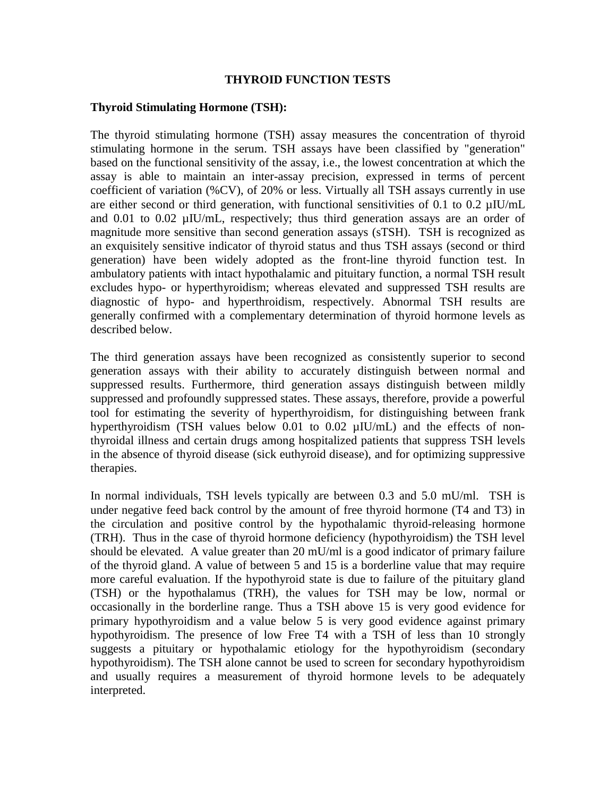#### **THYROID FUNCTION TESTS**

#### **Thyroid Stimulating Hormone (TSH):**

The thyroid stimulating hormone (TSH) assay measures the concentration of thyroid stimulating hormone in the serum. TSH assays have been classified by "generation" based on the functional sensitivity of the assay, i.e., the lowest concentration at which the assay is able to maintain an inter-assay precision, expressed in terms of percent coefficient of variation (%CV), of 20% or less. Virtually all TSH assays currently in use are either second or third generation, with functional sensitivities of 0.1 to 0.2 µIU/mL and 0.01 to 0.02 µIU/mL, respectively; thus third generation assays are an order of magnitude more sensitive than second generation assays (sTSH). TSH is recognized as an exquisitely sensitive indicator of thyroid status and thus TSH assays (second or third generation) have been widely adopted as the front-line thyroid function test. In ambulatory patients with intact hypothalamic and pituitary function, a normal TSH result excludes hypo- or hyperthyroidism; whereas elevated and suppressed TSH results are diagnostic of hypo- and hyperthroidism, respectively. Abnormal TSH results are generally confirmed with a complementary determination of thyroid hormone levels as described below.

The third generation assays have been recognized as consistently superior to second generation assays with their ability to accurately distinguish between normal and suppressed results. Furthermore, third generation assays distinguish between mildly suppressed and profoundly suppressed states. These assays, therefore, provide a powerful tool for estimating the severity of hyperthyroidism, for distinguishing between frank hyperthyroidism (TSH values below 0.01 to 0.02  $\mu$ IU/mL) and the effects of nonthyroidal illness and certain drugs among hospitalized patients that suppress TSH levels in the absence of thyroid disease (sick euthyroid disease), and for optimizing suppressive therapies.

In normal individuals, TSH levels typically are between 0.3 and 5.0 mU/ml. TSH is under negative feed back control by the amount of free thyroid hormone (T4 and T3) in the circulation and positive control by the hypothalamic thyroid-releasing hormone (TRH). Thus in the case of thyroid hormone deficiency (hypothyroidism) the TSH level should be elevated. A value greater than 20 mU/ml is a good indicator of primary failure of the thyroid gland. A value of between 5 and 15 is a borderline value that may require more careful evaluation. If the hypothyroid state is due to failure of the pituitary gland (TSH) or the hypothalamus (TRH), the values for TSH may be low, normal or occasionally in the borderline range. Thus a TSH above 15 is very good evidence for primary hypothyroidism and a value below 5 is very good evidence against primary hypothyroidism. The presence of low Free T4 with a TSH of less than 10 strongly suggests a pituitary or hypothalamic etiology for the hypothyroidism (secondary hypothyroidism). The TSH alone cannot be used to screen for secondary hypothyroidism and usually requires a measurement of thyroid hormone levels to be adequately interpreted.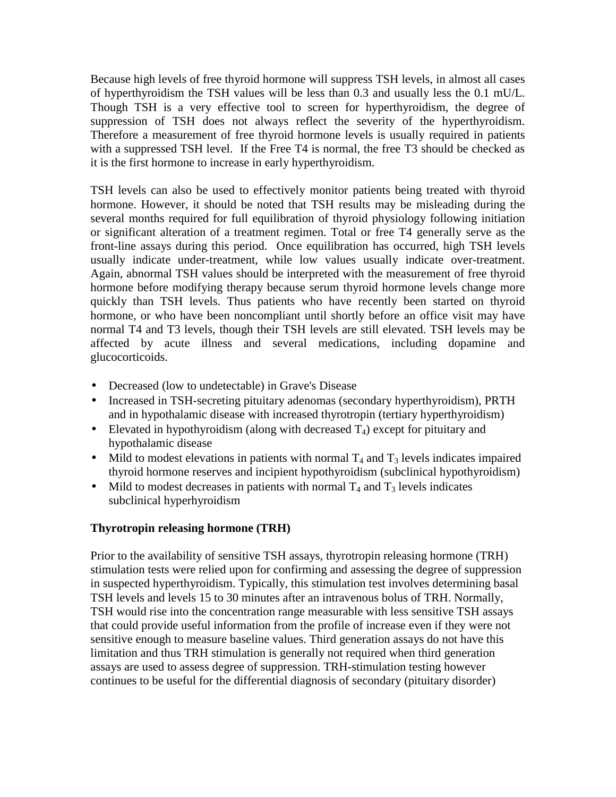Because high levels of free thyroid hormone will suppress TSH levels, in almost all cases of hyperthyroidism the TSH values will be less than 0.3 and usually less the 0.1 mU/L. Though TSH is a very effective tool to screen for hyperthyroidism, the degree of suppression of TSH does not always reflect the severity of the hyperthyroidism. Therefore a measurement of free thyroid hormone levels is usually required in patients with a suppressed TSH level. If the Free T4 is normal, the free T3 should be checked as it is the first hormone to increase in early hyperthyroidism.

TSH levels can also be used to effectively monitor patients being treated with thyroid hormone. However, it should be noted that TSH results may be misleading during the several months required for full equilibration of thyroid physiology following initiation or significant alteration of a treatment regimen. Total or free T4 generally serve as the front-line assays during this period. Once equilibration has occurred, high TSH levels usually indicate under-treatment, while low values usually indicate over-treatment. Again, abnormal TSH values should be interpreted with the measurement of free thyroid hormone before modifying therapy because serum thyroid hormone levels change more quickly than TSH levels. Thus patients who have recently been started on thyroid hormone, or who have been noncompliant until shortly before an office visit may have normal T4 and T3 levels, though their TSH levels are still elevated. TSH levels may be affected by acute illness and several medications, including dopamine and glucocorticoids.

- Decreased (low to undetectable) in Grave's Disease
- Increased in TSH-secreting pituitary adenomas (secondary hyperthyroidism), PRTH and in hypothalamic disease with increased thyrotropin (tertiary hyperthyroidism)
- Elevated in hypothyroidism (along with decreased  $T_4$ ) except for pituitary and hypothalamic disease
- Mild to modest elevations in patients with normal  $T_4$  and  $T_3$  levels indicates impaired thyroid hormone reserves and incipient hypothyroidism (subclinical hypothyroidism)
- Mild to modest decreases in patients with normal  $T_4$  and  $T_3$  levels indicates subclinical hyperhyroidism

# **Thyrotropin releasing hormone (TRH)**

Prior to the availability of sensitive TSH assays, thyrotropin releasing hormone (TRH) stimulation tests were relied upon for confirming and assessing the degree of suppression in suspected hyperthyroidism. Typically, this stimulation test involves determining basal TSH levels and levels 15 to 30 minutes after an intravenous bolus of TRH. Normally, TSH would rise into the concentration range measurable with less sensitive TSH assays that could provide useful information from the profile of increase even if they were not sensitive enough to measure baseline values. Third generation assays do not have this limitation and thus TRH stimulation is generally not required when third generation assays are used to assess degree of suppression. TRH-stimulation testing however continues to be useful for the differential diagnosis of secondary (pituitary disorder)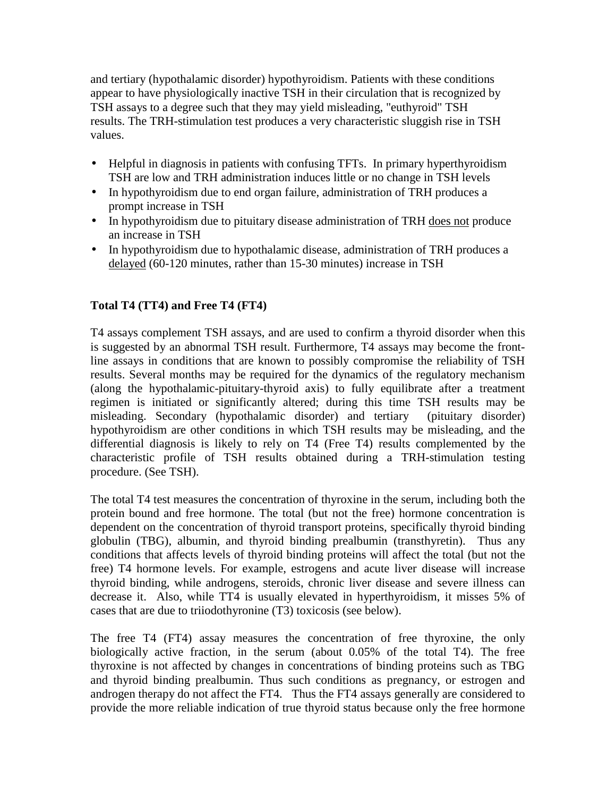and tertiary (hypothalamic disorder) hypothyroidism. Patients with these conditions appear to have physiologically inactive TSH in their circulation that is recognized by TSH assays to a degree such that they may yield misleading, "euthyroid" TSH results. The TRH-stimulation test produces a very characteristic sluggish rise in TSH values.

- Helpful in diagnosis in patients with confusing TFTs. In primary hyperthyroidism TSH are low and TRH administration induces little or no change in TSH levels
- In hypothyroidism due to end organ failure, administration of TRH produces a prompt increase in TSH
- In hypothyroidism due to pituitary disease administration of TRH does not produce an increase in TSH
- In hypothyroidism due to hypothalamic disease, administration of TRH produces a delayed (60-120 minutes, rather than 15-30 minutes) increase in TSH

# **Total T4 (TT4) and Free T4 (FT4)**

T4 assays complement TSH assays, and are used to confirm a thyroid disorder when this is suggested by an abnormal TSH result. Furthermore, T4 assays may become the frontline assays in conditions that are known to possibly compromise the reliability of TSH results. Several months may be required for the dynamics of the regulatory mechanism (along the hypothalamic-pituitary-thyroid axis) to fully equilibrate after a treatment regimen is initiated or significantly altered; during this time TSH results may be misleading. Secondary (hypothalamic disorder) and tertiary (pituitary disorder) hypothyroidism are other conditions in which TSH results may be misleading, and the differential diagnosis is likely to rely on T4 (Free T4) results complemented by the characteristic profile of TSH results obtained during a TRH-stimulation testing procedure. (See TSH).

The total T4 test measures the concentration of thyroxine in the serum, including both the protein bound and free hormone. The total (but not the free) hormone concentration is dependent on the concentration of thyroid transport proteins, specifically thyroid binding globulin (TBG), albumin, and thyroid binding prealbumin (transthyretin). Thus any conditions that affects levels of thyroid binding proteins will affect the total (but not the free) T4 hormone levels. For example, estrogens and acute liver disease will increase thyroid binding, while androgens, steroids, chronic liver disease and severe illness can decrease it. Also, while TT4 is usually elevated in hyperthyroidism, it misses 5% of cases that are due to triiodothyronine (T3) toxicosis (see below).

The free T4 (FT4) assay measures the concentration of free thyroxine, the only biologically active fraction, in the serum (about 0.05% of the total T4). The free thyroxine is not affected by changes in concentrations of binding proteins such as TBG and thyroid binding prealbumin. Thus such conditions as pregnancy, or estrogen and androgen therapy do not affect the FT4. Thus the FT4 assays generally are considered to provide the more reliable indication of true thyroid status because only the free hormone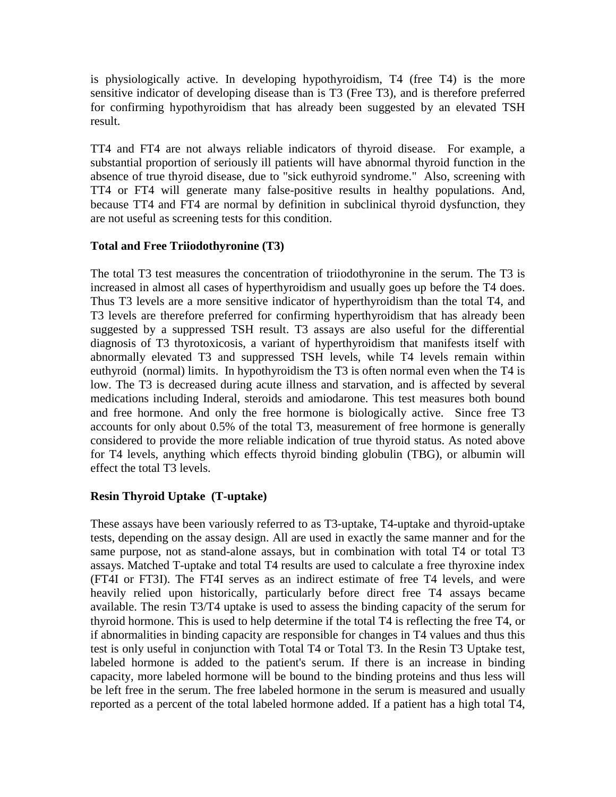is physiologically active. In developing hypothyroidism, T4 (free T4) is the more sensitive indicator of developing disease than is T3 (Free T3), and is therefore preferred for confirming hypothyroidism that has already been suggested by an elevated TSH result.

TT4 and FT4 are not always reliable indicators of thyroid disease. For example, a substantial proportion of seriously ill patients will have abnormal thyroid function in the absence of true thyroid disease, due to "sick euthyroid syndrome." Also, screening with TT4 or FT4 will generate many false-positive results in healthy populations. And, because TT4 and FT4 are normal by definition in subclinical thyroid dysfunction, they are not useful as screening tests for this condition.

# **Total and Free Triiodothyronine (T3)**

The total T3 test measures the concentration of triiodothyronine in the serum. The T3 is increased in almost all cases of hyperthyroidism and usually goes up before the T4 does. Thus T3 levels are a more sensitive indicator of hyperthyroidism than the total T4, and T3 levels are therefore preferred for confirming hyperthyroidism that has already been suggested by a suppressed TSH result. T3 assays are also useful for the differential diagnosis of T3 thyrotoxicosis, a variant of hyperthyroidism that manifests itself with abnormally elevated T3 and suppressed TSH levels, while T4 levels remain within euthyroid (normal) limits. In hypothyroidism the T3 is often normal even when the T4 is low. The T3 is decreased during acute illness and starvation, and is affected by several medications including Inderal, steroids and amiodarone. This test measures both bound and free hormone. And only the free hormone is biologically active. Since free T3 accounts for only about 0.5% of the total T3, measurement of free hormone is generally considered to provide the more reliable indication of true thyroid status. As noted above for T4 levels, anything which effects thyroid binding globulin (TBG), or albumin will effect the total T3 levels.

# **Resin Thyroid Uptake (T-uptake)**

These assays have been variously referred to as T3-uptake, T4-uptake and thyroid-uptake tests, depending on the assay design. All are used in exactly the same manner and for the same purpose, not as stand-alone assays, but in combination with total T4 or total T3 assays. Matched T-uptake and total T4 results are used to calculate a free thyroxine index (FT4I or FT3I). The FT4I serves as an indirect estimate of free T4 levels, and were heavily relied upon historically, particularly before direct free T4 assays became available. The resin T3/T4 uptake is used to assess the binding capacity of the serum for thyroid hormone. This is used to help determine if the total T4 is reflecting the free T4, or if abnormalities in binding capacity are responsible for changes in T4 values and thus this test is only useful in conjunction with Total T4 or Total T3. In the Resin T3 Uptake test, labeled hormone is added to the patient's serum. If there is an increase in binding capacity, more labeled hormone will be bound to the binding proteins and thus less will be left free in the serum. The free labeled hormone in the serum is measured and usually reported as a percent of the total labeled hormone added. If a patient has a high total T4,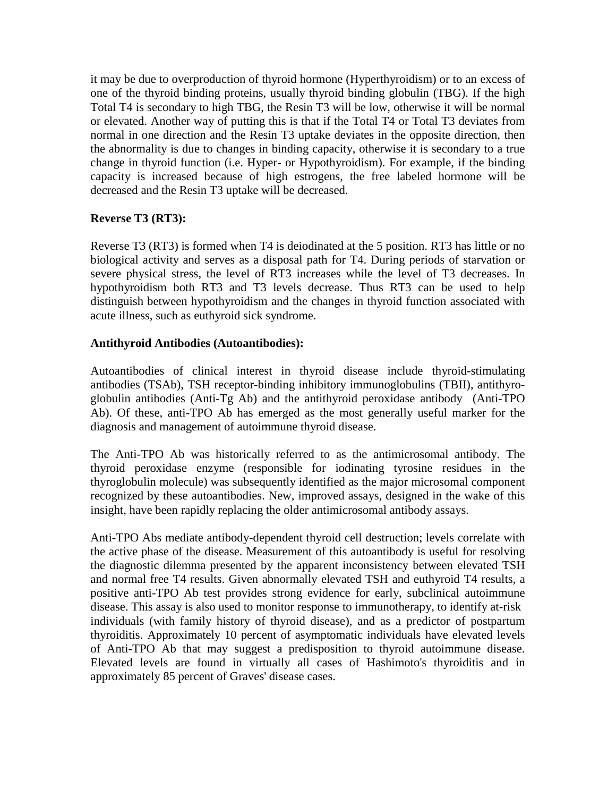it may be due to overproduction of thyroid hormone (Hyperthyroidism) or to an excess of one of the thyroid binding proteins, usually thyroid binding globulin (TBG). If the high Total T4 is secondary to high TBG, the Resin T3 will be low, otherwise it will be normal or elevated. Another way of putting this is that if the Total T4 or Total T3 deviates from normal in one direction and the Resin T3 uptake deviates in the opposite direction, then the abnormality is due to changes in binding capacity, otherwise it is secondary to a true change in thyroid function (i.e. Hyper- or Hypothyroidism). For example, if the binding capacity is increased because of high estrogens, the free labeled hormone will be decreased and the Resin T3 uptake will be decreased.

# **Reverse T3 (RT3):**

Reverse T3 (RT3) is formed when T4 is deiodinated at the 5 position. RT3 has little or no biological activity and serves as a disposal path for T4. During periods of starvation or severe physical stress, the level of RT3 increases while the level of T3 decreases. In hypothyroidism both RT3 and T3 levels decrease. Thus RT3 can be used to help distinguish between hypothyroidism and the changes in thyroid function associated with acute illness, such as euthyroid sick syndrome.

# **Antithyroid Antibodies (Autoantibodies):**

Autoantibodies of clinical interest in thyroid disease include thyroid-stimulating antibodies (TSAb), TSH receptor-binding inhibitory immunoglobulins (TBII), antithyroglobulin antibodies (Anti-Tg Ab) and the antithyroid peroxidase antibody (Anti-TPO Ab). Of these, anti-TPO Ab has emerged as the most generally useful marker for the diagnosis and management of autoimmune thyroid disease.

The Anti-TPO Ab was historically referred to as the antimicrosomal antibody. The thyroid peroxidase enzyme (responsible for iodinating tyrosine residues in the thyroglobulin molecule) was subsequently identified as the major microsomal component recognized by these autoantibodies. New, improved assays, designed in the wake of this insight, have been rapidly replacing the older antimicrosomal antibody assays.

Anti-TPO Abs mediate antibody-dependent thyroid cell destruction; levels correlate with the active phase of the disease. Measurement of this autoantibody is useful for resolving the diagnostic dilemma presented by the apparent inconsistency between elevated TSH and normal free T4 results. Given abnormally elevated TSH and euthyroid T4 results, a positive anti-TPO Ab test provides strong evidence for early, subclinical autoimmune disease. This assay is also used to monitor response to immunotherapy, to identify at-risk individuals (with family history of thyroid disease), and as a predictor of postpartum thyroiditis. Approximately 10 percent of asymptomatic individuals have elevated levels of Anti-TPO Ab that may suggest a predisposition to thyroid autoimmune disease. Elevated levels are found in virtually all cases of Hashimoto's thyroiditis and in approximately 85 percent of Graves' disease cases.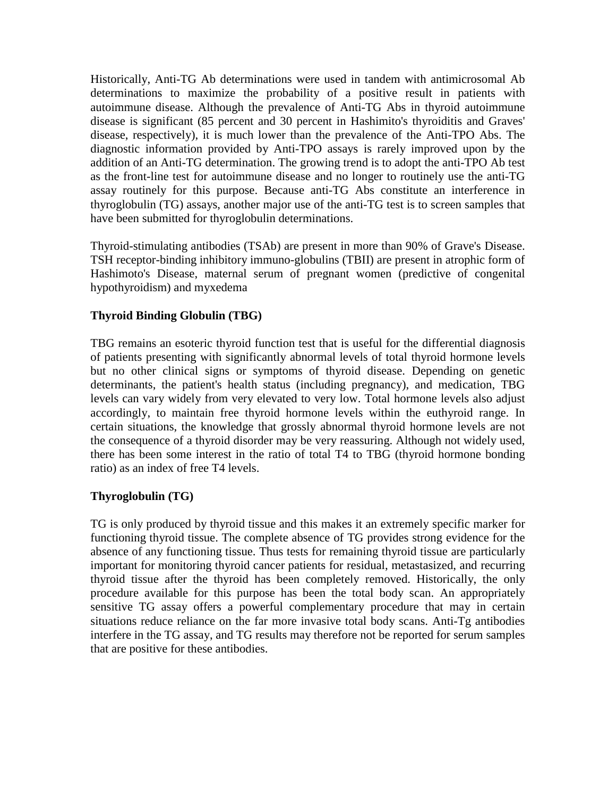Historically, Anti-TG Ab determinations were used in tandem with antimicrosomal Ab determinations to maximize the probability of a positive result in patients with autoimmune disease. Although the prevalence of Anti-TG Abs in thyroid autoimmune disease is significant (85 percent and 30 percent in Hashimito's thyroiditis and Graves' disease, respectively), it is much lower than the prevalence of the Anti-TPO Abs. The diagnostic information provided by Anti-TPO assays is rarely improved upon by the addition of an Anti-TG determination. The growing trend is to adopt the anti-TPO Ab test as the front-line test for autoimmune disease and no longer to routinely use the anti-TG assay routinely for this purpose. Because anti-TG Abs constitute an interference in thyroglobulin (TG) assays, another major use of the anti-TG test is to screen samples that have been submitted for thyroglobulin determinations.

Thyroid-stimulating antibodies (TSAb) are present in more than 90% of Grave's Disease. TSH receptor-binding inhibitory immuno-globulins (TBII) are present in atrophic form of Hashimoto's Disease, maternal serum of pregnant women (predictive of congenital hypothyroidism) and myxedema

#### **Thyroid Binding Globulin (TBG)**

TBG remains an esoteric thyroid function test that is useful for the differential diagnosis of patients presenting with significantly abnormal levels of total thyroid hormone levels but no other clinical signs or symptoms of thyroid disease. Depending on genetic determinants, the patient's health status (including pregnancy), and medication, TBG levels can vary widely from very elevated to very low. Total hormone levels also adjust accordingly, to maintain free thyroid hormone levels within the euthyroid range. In certain situations, the knowledge that grossly abnormal thyroid hormone levels are not the consequence of a thyroid disorder may be very reassuring. Although not widely used, there has been some interest in the ratio of total T4 to TBG (thyroid hormone bonding ratio) as an index of free T4 levels.

#### **Thyroglobulin (TG)**

TG is only produced by thyroid tissue and this makes it an extremely specific marker for functioning thyroid tissue. The complete absence of TG provides strong evidence for the absence of any functioning tissue. Thus tests for remaining thyroid tissue are particularly important for monitoring thyroid cancer patients for residual, metastasized, and recurring thyroid tissue after the thyroid has been completely removed. Historically, the only procedure available for this purpose has been the total body scan. An appropriately sensitive TG assay offers a powerful complementary procedure that may in certain situations reduce reliance on the far more invasive total body scans. Anti-Tg antibodies interfere in the TG assay, and TG results may therefore not be reported for serum samples that are positive for these antibodies.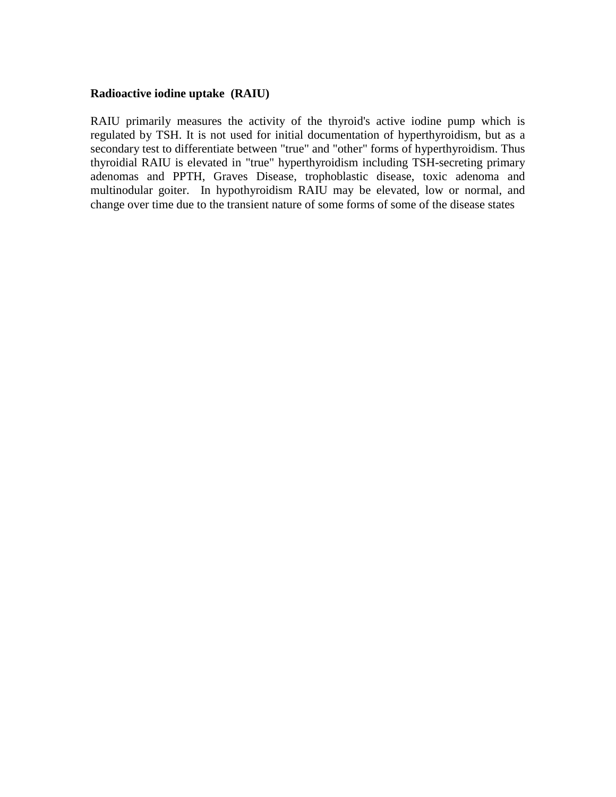#### **Radioactive iodine uptake (RAIU)**

RAIU primarily measures the activity of the thyroid's active iodine pump which is regulated by TSH. It is not used for initial documentation of hyperthyroidism, but as a secondary test to differentiate between "true" and "other" forms of hyperthyroidism. Thus thyroidial RAIU is elevated in "true" hyperthyroidism including TSH-secreting primary adenomas and PPTH, Graves Disease, trophoblastic disease, toxic adenoma and multinodular goiter. In hypothyroidism RAIU may be elevated, low or normal, and change over time due to the transient nature of some forms of some of the disease states